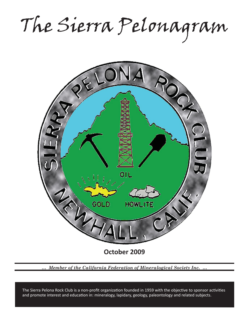The Sierra Pelonagram



*… Member of the California Federation of Mineralogical Society Inc. …*

and promote interest and education in: mineralogy, lapidary, geology, paleontology and related subjects. The Sierra Pelona Rock Club is a non-profit organization founded in 1959 with the objective to sponsor activities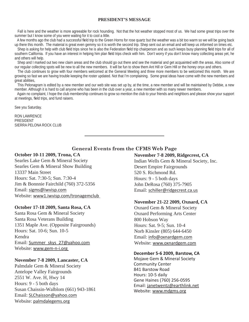#### **PRESIDENT'S MESSAGE**

 Fall is here and the weather is more agreeable for rock hounding. Not that the hot weather stopped most of us. We had some great trips over the summer but I know some of you were waiting for it to cool a little.

A few months ago the club had a successful field trip to the Green Horns for rose quartz but the weather was a bit too warm so we will be going back up there this month. The material is great even gemmy so it is worth the second trip. Shep sent out an email and will keep us informed on times etc.

Shep is asking for help with club field trips since he is also the Federation field trip chairperson and as such keeps busy planning field trips for all of southern California. If you have an interest in helping him plan field trips check with him. Don't worry if you don't know many collecting areas yet, he and others will help.

Shep and I marked out two new claim areas and the club should go out there and see the material and get acquainted with the areas. Also some of our regular collecting spots will be new to all the new members. It will be fun to show them Ant Hill or Gem Hill or the honey onyx and others.

 The club continues to grow with four members welcomed at the General Meeting and three more members to be welcomed this month. We are growing so fast we are having trouble keeping the roster updated. Not that I'm complaining. Some great ideas have come with the new members and great abilities,

 This Pelonagram is edited by a new member and our web site was set up by, at the time, a new member and will be maintained by Debbie, a new member. Although it is hard to call anyone who has been in the club over a year, a new member with so many newer members.

 Again no complaint, I hope the club membership continues to grow so mention the club to your friends and neighbors and please show your support at meetings, field trips, and fund raisers.

See you Saturday.

RON LAWRENCE PRESIDENT SIERRA PELONA ROCK CLUB

**General Events from the CFMS Web Page**

## **October 10-11 2009, Trona, CA**

Searles Lake Gem & Mineral Society Searles Gem & Mineral Show Building 13337 Main Street Hours: Sat. 7:30-5; Sun. 7:30-4 Jim & Bonnnie Fairchild (760) 372-5356 Email: sigms@iwvisp.com Website: www1.iwvisp.com/tronagemclub

## **October 17-18 2009, Santa Rosa, CA**

Santa Rosa Gem & Mineral Society Santa Rosa Veterans Building 1351 Maple Ave. (Opposite Fairgrounds) Hours: Sat. 10-6; Sun. 10-5 Kendra Email: Summer\_skys\_27@yahoo.com Website: www.gem-n-i.org

## **November 7-8 2009, Lancaster, CA**

Palmdale Gem & Mineral Society Antelope Valley Fairgrounds 2551 W. Ave. H, Hwy 14 Hours: 9 - 5 both days Susan Chaissin-Walblom (661) 943-1861 Email: SLChaisson@yahoo.com Website: palmdalegems.org

## **November 7-8 2009, Ridgecrest, CA**

Indian Wells Gem & Mineral Society, Inc. Desert Empire Fairgrounds 520 S. Richmond Rd. Hours: 9 - 5 both days John DeRosa (760) 375-7905 Email: schiller@ridgecrest.ca.us

## **November 21-22 2009, Oxnard, CA**

Oxnard Gem & Mineral Society Oxnard Performing Arts Center 800 Hobson Way Hours: Sat. 9-5; Sun. 10-4 Norb Kinsler (805) 644-6450 Email: info@oxnardgem.com Website: www.oxnardgem.com

## **December 5-6 2009, Barstow, CA**

Mojave Gem & Mineral Society Community Center 841 Barstow Road Hours: 10-5 daily Gene Haines (760) 256-0595 Email: janetwentz@earthlink.net Website: www.mdgms.org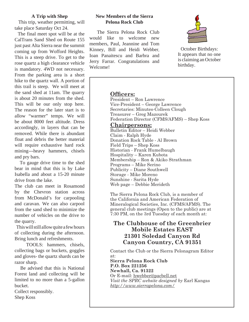## **A Trip with Shep**

 This trip, weather permitting, will take place Saturday Oct 24.

 The final meet spot will be at the CalTrans Sand Shed on Route 155 just past Alta Sierra near the summit coming up from Wofford Heights. This is a steep drive. To get to the rose quartz a high clearance vehicle is mandatory. 4WD not necessary. From the parking area is a short hike to the quartz wall. A portion of this trail is steep. We will meet at the sand shed at 11am. The quarry is about 20 minutes from the shed. This will be our only stop here. The reason for the later start is to allow "warmer" temps. We will be about 8000 feet altitude. Dress accordingly, in layers that can be removed. While there is abundant float and debris the better material will require exhaustive hard rock mining---heavy hammers, chisels and pry bars.

 To gauge drive time to the shed bear in mind that this is by Lake Isabella and about a 15-20 minute drive from the lake.

The club can meet in Rosamond by the Chevron station across from McDonald's for carpooling and caravan. We can also carpool from the sand shed to minimize the number of vehicles on the drive to the quarry.

 This will still allow quite a few hours of collecting during the afternoon. Bring lunch and refreshments.

 TOOLS: hammers, chisels, collecting bags or buckets, goggles and gloves- the quartz shards can be razor sharp.

 Be advised that this is National Forest land and collecting will be limited to no more than a 5-gallon bucket.

Collect responsibly. Shep Koss

## **New Members of the Sierra Pelona Rock Club**

 The Sierra Pelona Rock Club would like to welcome new members, Paul, Jeannine and Tom Kinney, Bill and Heidi Webber, Ioan Panaitescu and Barbra and Jerry Farrar. Congratulations and Welcome!



October Birthdays: It appears that no one is claiming an October birthday.

## **Officers:**

President – Ron Lawrence Vice-President – George Lawrence Secretaries: Minutes-Colleen Clough Treasurer – Greg Mazourek Federation Director (CFMS/AFMS) – Shep Koss

## **Chairpersons:**

Bulletin Editor – Heidi Webber Claim - Ralph Hyde Donation Rock Table - Al Brown Field Trips – Shep Koss Historian - Frank Humelbaugh Hospitality – Karen Kubota Membership – Ron & Akiko Strathman Programs – Mike Serino Publicity – Diane Southwell Storage - Mike Moreno Sunshine - Sarita Hyde Web page – Debbie Merideth

The Sierra Pelona Rock Club, is a member of the California and American Federation of Mineralogical Societies, Inc. (CFMS/AFMS). The general club meetings (Open to the public) are at 7:30 PM, on the 3rd Tuesday of each month at:

# **The Clubhouse of the Greenbrier Mobile Estates EAST 21301 Soledad Canyon Rd Canyon Country, CA 91351**

Contact the Club or the Sierra Pelonagram Editor at:

**Sierra Pelona Rock Club P.O. Box 221256 Newhall, Ca. 91322** Or E-mail: hwebber@pacbell.net *Visit the SPRC website designed by* Earl Kangas *http://www.sierrapelona.com/*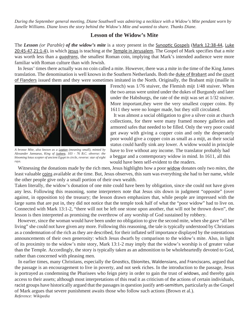*During the September general meeting, Diane Southwell was admiring a necklace with a Widow's Mite pendant worn by Janelle Williams. Diane loves the story behind the Widow's Mite and wanted to share. Thanks Diane.*

## **Lesson of the Widow's Mite**

The *Lesson* (or Parable) of the widow's mite is a story present in the Synoptic Gospels (Mark 12:38-44, Luke 20:45-47,21:1-4), in which Jesus is teaching at the Temple in Jerusalem. The Gospel of Mark specifies that a *mite* was worth less than a *quadrans*, the smallest Roman coin, implying that Mark's intended audience were more familiar with Roman culture than with Jewish.

 In Jesus' times there actually was no coin called a mite. However, there was a mite in the time of the King James translation. The denomination is well known in the Southern Netherlands. Both the duke of Brabant and the count of Flanders issued them and they were sometimes imitated in the North. Originally, the Brabant mijt (maille in



*A bronze Mite, also known as a Lepton (meaning small), minted by Alexander Jannaeus, King of Judaea, 103 - 76 B.C. obverse: the blooming lotus scepter of ancient Egypt in circle, reverse: star of eight rays.*

French) was 1/76 stuiver, the Flemish mijt 1/48 stuiver. When the two areas were united under the dukes of Burgundy and later under the Habsburgs, the rate of the mijt was set at 1/32 stuiver. More important,they were the very smallest copper coins. By 1611 they were no longer made, but they still circulated.

 It was almost a social obligation to give a silver coin at church collections, for there were many framed money galleries and armored safes that needed to be filled. Only the very poor could get away with giving a copper coin and only the desperately poor would give a copper coin as small as a mijt, as their social status could hardly sink any lower. A widow would in principle have to live without any income. The translator probably had a beggar and a contemporary widow in mind. In 1611, all this would have been self-evident to the readers.

 Witnessing the donations made by the rich men, Jesus highlights how a poor widow donates only two *mites*, the least valuable coins available at the time. But, Jesus observes, this sum was everything she had to her name, while the other people give only a small portion of their own wealth.

Taken literally, the widow's donation of one mite could have been by obligation, since she could not have given any less. Following this reasoning, some interpreters note that Jesus sits down in judgment "opposite" (over against, in opposition to) the treasury; the lesson drawn emphasizes that, while people are impressed with the large sums that are put in, they did not notice that the temple took half of what the "poor widow" had to live on. Connected with Mark 13:1-2, "there will not be left one stone upon another, that will not be thrown down", the lesson is then interpreted as promising the overthrow of any worship of God sustained by robbery.

 However, since the woman would have been under no obligation to give the second mite, when she gave "all her living" she could not have given any more. Following this reasoning, the tale is typically understood by Christians as a condemnation of the rich as they are described, for their inflated self importance displayed by the ostentatious announcements of their own generosity: which Jesus dwarfs by comparison to the widow's mite. Also, in light of its proximity to the widow's mite story, Mark 13:1-2 may imply that the widow's worship is of greater value than the Temple. Accordingly, the story is typically taken as an admonition to be wholeheartedly devoted to God, rather than concerned with pleasing men.

In earlier times, many Christians, especially the Gnostics, Ebionites, Waldensians, and Franciscans, argued that the passage is an encouragement to live in poverty, and not seek riches. In the introduction to the passage, Jesus is portrayed as condemning the Pharisees who feign piety in order to gain the trust of widows, and thereby gain access to their assets; although most interpretations of this read it as criticism of the actions of certain individuals, racist groups have historically argued that the passages in question justify anti-semitism, particularly as the Gospel of Mark argues that severe punishment awaits those who follow such actions (Brown et al.). *Reference: Wikipedia*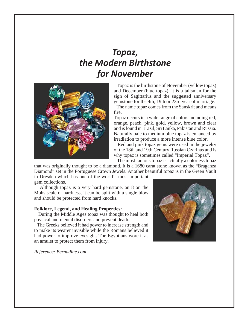# *Topaz, the Modern Birthstone for November*



 Topaz is the birthstone of November (yellow topaz) and December (blue topaz), it is a talisman for the sign of Sagittarius and the suggested anniversary gemstone for the 4th, 19th or 23rd year of marriage.

 The name topaz comes from the Sanskrit and means fire.

Topaz occurs in a wide range of colors including red, orange, peach, pink, gold, yellow, brown and clear and is found in Brazil, Sri Lanka, Pakistan and Russia. Naturally pale to medium blue topaz is enhanced by irradiation to produce a more intense blue color.

 Red and pink topaz gems were used in the jewelry of the 18th and 19th Century Russian Czarinas and is why topaz is sometimes called "Imperial Topaz".

The most famous topaz is actually a colorless topaz

that was originally thought to be a diamond. It is a 1680 carat stone known as the "Braganza Diamond" set in the Portuguese Crown Jewels. Another beautiful topaz is in the Green Vault

in Dresden which has one of the world's most important gem collections.

 Although topaz is a very hard gemstone, an 8 on the Mohs scale of hardness, it can be split with a single blow and should be protected from hard knocks.

#### **Folklore, Legend, and Healing Properties:**

 During the Middle Ages topaz was thought to heal both physical and mental disorders and prevent death.

 The Greeks believed it had power to increase strength and to make its wearer invisible while the Romans believed it had power to improve eyesight. The Egyptians wore it as an amulet to protect them from injury.

*Reference: Bernadine.com*

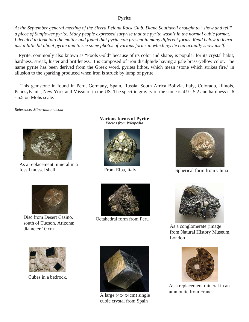## **Pyrite**

*At the September general meeting of the Sierra Pelona Rock Club, Diane Southwell brought to "show and tell" a piece of Sunflower pyrite. Many people expressed surprise that the pyrite wasn't in the normal cubic format. I decided to look into the matter and found that pyrite can present in many different forms. Read below to learn just a little bit about pyrite and to see some photos of various forms in which pyrite can actually show itself.*

 Pyrite, commonly also known as "Fools Gold" because of its color and shape, is popular for its crystal habit, hardness, streak, luster and brittleness. It is composed of iron disulphide having a pale brass-yellow color. The name pyrite has been derived from the Greek word, pyrites lithos, which mean 'stone which strikes fire,' in allusion to the sparking produced when iron is struck by lump of pyrite.

 This gemstone in found in Peru, Germany, Spain, Russia, South Africa Bolivia, Italy, Colorado, Illinois, Pennsylvania, New York and Missouri in the US. The specific gravity of the stone is 4.9 - 5.2 and hardness is 6 - 6.5 on Mohs scale.

*Reference: Mineralszone.com*



As a replacement mineral in a fossil mussel shell

**Various forms of Pyrite** *Photos from Wikipedia*



From Elba, Italy



Disc from Desert Casino, south of Tucson, Arizona; diameter 10 cm



Octahedral form from Peru



Spherical form from China



As a conglomerate (image from Natural History Museum, London



Cubes in a bedrock.



A large (4x4x4cm) single cubic crystal from Spain



As a replacement mineral in an ammonite from France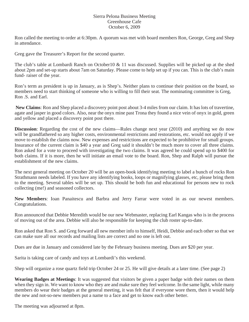## Sierra Pelona Business Meeting Greenhouse Cafe October 6, 2009

Ron called the meeting to order at 6:30pm. A quorum was met with board members Ron, George, Greg and Shep in attendance.

Greg gave the Treasurer's Report for the second quarter.

The club's table at Lombardi Ranch on October10 & 11 was discussed. Supplies will be picked up at the shed about 2pm and set-up starts about 7am on Saturday. Please come to help set up if you can. This is the club's main fund- raiser of the year.

Ron's term as president is up in January, as is Shep's. Neither plans to continue their position on the board, so members need to start thinking of someone who is willing to fill their seat. The nominating committee is Greg, Ron .S. and Earl.

**New Claims**: Ron and Shep placed a discovery point post about 3-4 miles from our claim. It has lots of travertine, agate and jasper in good colors. Also, near the onyx mine past Trona they found a nice vein of onyx in gold, green and yellow and placed a discovery point post there.

**Discussion**: Regarding the cost of the new claims—Rules change next year (2010) and anything we do now will be grandfathered so any higher costs, environmental restrictions and restorations, etc. would not apply if we move to establish the claims now. New expenses and restrictions are expected to be prohibitive for small groups. Insurance of the current claim is \$40 a year and Greg said it shouldn't be much more to cover all three claims. Ron asked for a vote to proceed with investigating the two claims. It was agreed he could spend up to \$400 for both claims. If it is more, then he will initiate an email vote to the board. Ron, Shep and Ralph will pursue the establishment of the new claims.

The next general meeting on October 20 will be an open-book identifying meeting to label a bunch of rocks Ron Strathmann needs labeled. If you have any identifying books, loops or magnifying glasses, etc, please bring them to the meeting. Several tables will be set up. This should be both fun and educational for persons new to rock collecting (me!) and seasoned collectors.

**New Members**: Ioan Panaitescu and Barbra and Jerry Farrar were voted in as our newest members. Congratulations.

Ron announced that Debbie Meredith would be our new Webmaster, replacing Earl Kangas who is in the process of moving out of the area. Debbie will also be responsible for keeping the club roster up-to-date.

Ron asked that Ron S. and Greg forward all new member info to himself, Heidi, Debbie and each other so that we can make sure all our records and mailing lists are correct and no one is left out.

Dues are due in January and considered late by the February business meeting. Dues are \$20 per year.

Sarita is taking care of candy and toys at Lombardi's this weekend.

Shep will organize a rose quartz field trip October 24 or 25. He will give details at a later time. (See page 2)

**Wearing Badges at Meetings**: It was suggested that visitors be given a paper badge with their names on them when they sign in. We want to know who they are and make sure they feel welcome. In the same light, while many members do wear their badges at the general meeting, it was felt that if everyone wore them, then it would help the new and not-so-new members put a name to a face and get to know each other better.

The meeting was adjourned at 8pm.